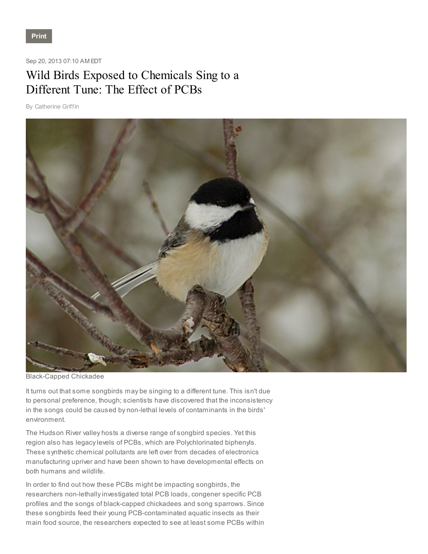## Sep 20, 2013 07:10 AM EDT

## Wild Birds Exposed to Chemicals Sing to a Different Tune: The Effect of PCBs

By Catherine Griffin



Black-Capped Chickadee

It turns out that some songbirds may be singing to a different tune. This isn't due to personal preference, though; scientists have discovered that the inconsistency in the songs could be caused by non-lethal levels of contaminants in the birds' environment.

The Hudson River valley hosts a diverse range of songbird species. Yet this region also has legacy levels of PCBs, which are Polychlorinated biphenyls. These synthetic chemical pollutants are left over from decades of electronics manufacturing upriver and have been shown to have developmental effects on both humans and wildlife.

In order to find out how these PCBs might be impacting songbirds, the researchers non-lethally investigated total PCB loads, congener specific PCB profiles and the songs of black-capped chickadees and song sparrows. Since these songbirds feed their young PCB-contaminated aquatic insects as their main food source, the researchers expected to see at least some PCBs within